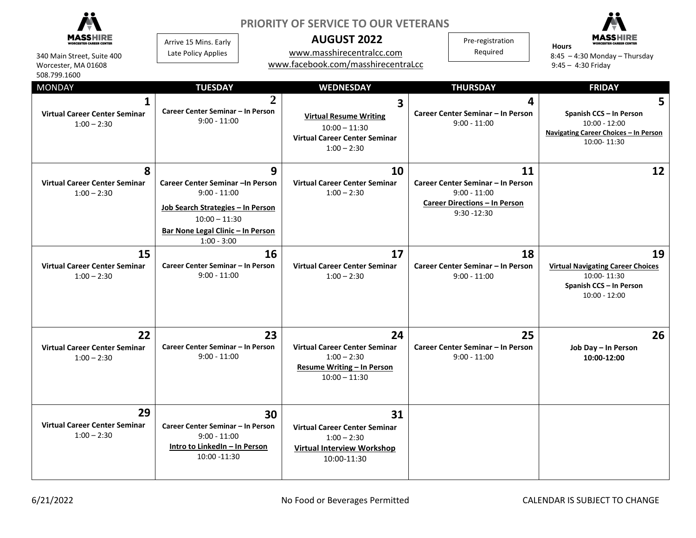| 340 Main Street, Suite 400<br>Worcester, MA 01608<br>508.799.1600<br><b>MONDAY</b><br><b>Virtual Career Center Seminar</b><br>$1:00 - 2:30$ | Arrive 15 Mins. Early<br>Late Policy Applies<br><b>TUESDAY</b><br>Career Center Seminar - In Person<br>$9:00 - 11:00$                                             | $\overline{2}$ | <b>PRIORITY OF SERVICE TO OUR VETERANS</b><br><b>AUGUST 2022</b><br>www.masshirecentralcc.com<br>www.facebook.com/masshirecentraLcc<br><b>WEDNESDAY</b><br>3<br><b>Virtual Resume Writing</b> | Pre-registration<br>Required<br><b>THURSDAY</b><br>4<br>Career Center Seminar - In Person<br>$9:00 - 11:00$         | Hours<br>$8:45 - 4:30$ Monday - Thursday<br>$9:45 - 4:30$ Friday<br><b>FRIDAY</b><br>5<br>Spanish CCS - In Person<br>$10:00 - 12:00$ |
|---------------------------------------------------------------------------------------------------------------------------------------------|-------------------------------------------------------------------------------------------------------------------------------------------------------------------|----------------|-----------------------------------------------------------------------------------------------------------------------------------------------------------------------------------------------|---------------------------------------------------------------------------------------------------------------------|--------------------------------------------------------------------------------------------------------------------------------------|
|                                                                                                                                             |                                                                                                                                                                   |                | $10:00 - 11:30$<br><b>Virtual Career Center Seminar</b><br>$1:00 - 2:30$                                                                                                                      |                                                                                                                     | Navigating Career Choices - In Person<br>10:00-11:30                                                                                 |
| 8<br><b>Virtual Career Center Seminar</b><br>$1:00 - 2:30$                                                                                  | Career Center Seminar - In Person<br>$9:00 - 11:00$<br>Job Search Strategies - In Person<br>$10:00 - 11:30$<br>Bar None Legal Clinic - In Person<br>$1:00 - 3:00$ | 9              | 10<br><b>Virtual Career Center Seminar</b><br>$1:00 - 2:30$                                                                                                                                   | 11<br>Career Center Seminar - In Person<br>$9:00 - 11:00$<br><b>Career Directions - In Person</b><br>$9:30 - 12:30$ | 12                                                                                                                                   |
| 15<br><b>Virtual Career Center Seminar</b><br>$1:00 - 2:30$                                                                                 | Career Center Seminar - In Person<br>$9:00 - 11:00$                                                                                                               | 16             | 17<br><b>Virtual Career Center Seminar</b><br>$1:00 - 2:30$                                                                                                                                   | 18<br>Career Center Seminar - In Person<br>$9:00 - 11:00$                                                           | 19<br><b>Virtual Navigating Career Choices</b><br>10:00-11:30<br>Spanish CCS - In Person<br>$10:00 - 12:00$                          |
| 22<br><b>Virtual Career Center Seminar</b><br>$1:00 - 2:30$                                                                                 | Career Center Seminar - In Person<br>$9:00 - 11:00$                                                                                                               | 23             | 24<br><b>Virtual Career Center Seminar</b><br>$1:00 - 2:30$<br><b>Resume Writing - In Person</b><br>$10:00 - 11:30$                                                                           | 25<br>Career Center Seminar - In Person<br>$9:00 - 11:00$                                                           | 26<br>Job Day - In Person<br>10:00-12:00                                                                                             |
| 29<br><b>Virtual Career Center Seminar</b><br>$1:00 - 2:30$                                                                                 | Career Center Seminar - In Person<br>$9:00 - 11:00$<br>Intro to LinkedIn - In Person<br>10:00 -11:30                                                              | 30             | 31<br><b>Virtual Career Center Seminar</b><br>$1:00 - 2:30$<br><b>Virtual Interview Workshop</b><br>10:00-11:30                                                                               |                                                                                                                     |                                                                                                                                      |